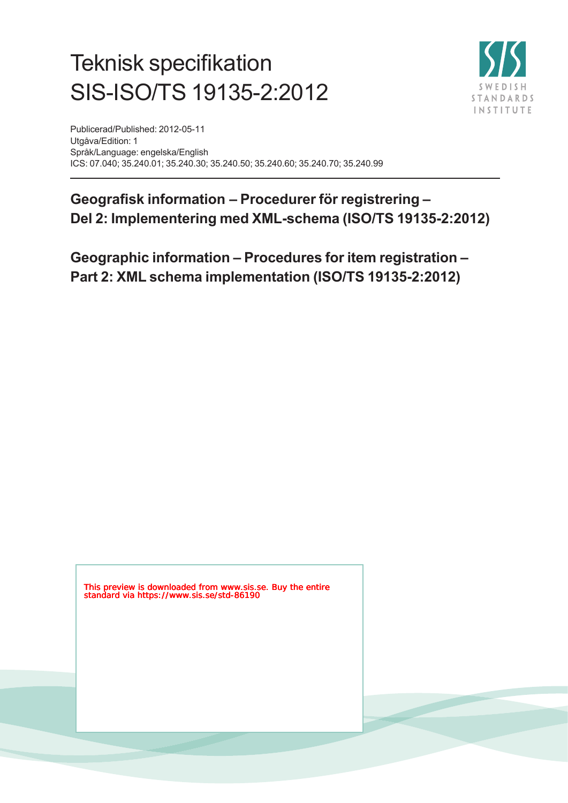# Teknisk specifikation SIS-ISO/TS 19135-2:2012



Publicerad/Published: 2012-05-11 Utgåva/Edition: 1 Språk/Language: engelska/English ICS: 07.040; 35.240.01; 35.240.30; 35.240.50; 35.240.60; 35.240.70; 35.240.99

**Geografisk information – Procedurer för registrering – Del 2: Implementering med XML-schema (ISO/TS 19135-2:2012)**

**Geographic information – Procedures for item registration – Part 2: XML schema implementation (ISO/TS 19135-2:2012)**

This preview is downloaded from www.sis.se. Buy the entire standard via https://www.sis.se/std-86190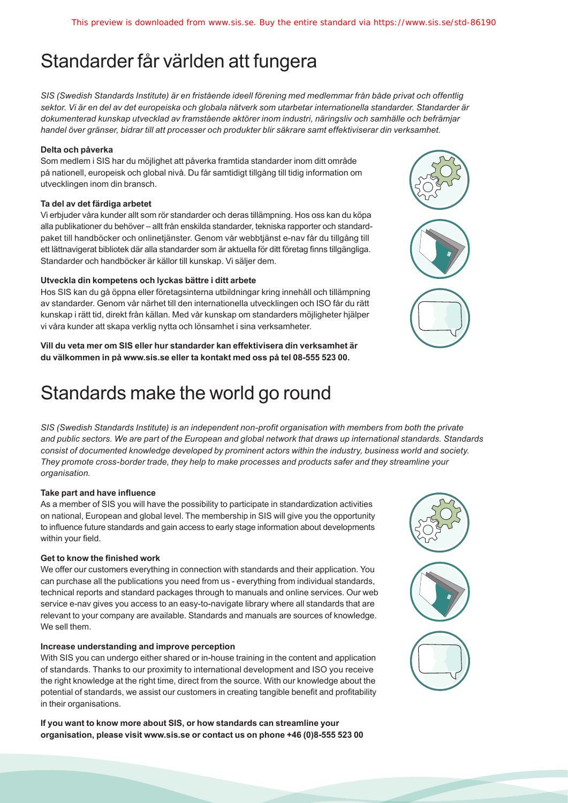# Standarder får världen att fungera

*SIS (Swedish Standards Institute) är en fristående ideell förening med medlemmar från både privat och offentlig sektor. Vi är en del av det europeiska och globala nätverk som utarbetar internationella standarder. Standarder är dokumenterad kunskap utvecklad av framstående aktörer inom industri, näringsliv och samhälle och befrämjar handel över gränser, bidrar till att processer och produkter blir säkrare samt effektiviserar din verksamhet.* 

#### **Delta och påverka**

Som medlem i SIS har du möjlighet att påverka framtida standarder inom ditt område på nationell, europeisk och global nivå. Du får samtidigt tillgång till tidig information om utvecklingen inom din bransch.

#### **Ta del av det färdiga arbetet**

Vi erbjuder våra kunder allt som rör standarder och deras tillämpning. Hos oss kan du köpa alla publikationer du behöver – allt från enskilda standarder, tekniska rapporter och standardpaket till handböcker och onlinetjänster. Genom vår webbtjänst e-nav får du tillgång till ett lättnavigerat bibliotek där alla standarder som är aktuella för ditt företag finns tillgängliga. Standarder och handböcker är källor till kunskap. Vi säljer dem.

#### **Utveckla din kompetens och lyckas bättre i ditt arbete**

Hos SIS kan du gå öppna eller företagsinterna utbildningar kring innehåll och tillämpning av standarder. Genom vår närhet till den internationella utvecklingen och ISO får du rätt kunskap i rätt tid, direkt från källan. Med vår kunskap om standarders möjligheter hjälper vi våra kunder att skapa verklig nytta och lönsamhet i sina verksamheter.

**Vill du veta mer om SIS eller hur standarder kan effektivisera din verksamhet är du välkommen in på www.sis.se eller ta kontakt med oss på tel 08-555 523 00.**

# Standards make the world go round

*SIS (Swedish Standards Institute) is an independent non-profit organisation with members from both the private and public sectors. We are part of the European and global network that draws up international standards. Standards consist of documented knowledge developed by prominent actors within the industry, business world and society. They promote cross-border trade, they help to make processes and products safer and they streamline your organisation.*

#### **Take part and have influence**

As a member of SIS you will have the possibility to participate in standardization activities on national, European and global level. The membership in SIS will give you the opportunity to influence future standards and gain access to early stage information about developments within your field.

#### **Get to know the finished work**

We offer our customers everything in connection with standards and their application. You can purchase all the publications you need from us - everything from individual standards, technical reports and standard packages through to manuals and online services. Our web service e-nav gives you access to an easy-to-navigate library where all standards that are relevant to your company are available. Standards and manuals are sources of knowledge. We sell them.

#### **Increase understanding and improve perception**

With SIS you can undergo either shared or in-house training in the content and application of standards. Thanks to our proximity to international development and ISO you receive the right knowledge at the right time, direct from the source. With our knowledge about the potential of standards, we assist our customers in creating tangible benefit and profitability in their organisations.

**If you want to know more about SIS, or how standards can streamline your organisation, please visit www.sis.se or contact us on phone +46 (0)8-555 523 00**



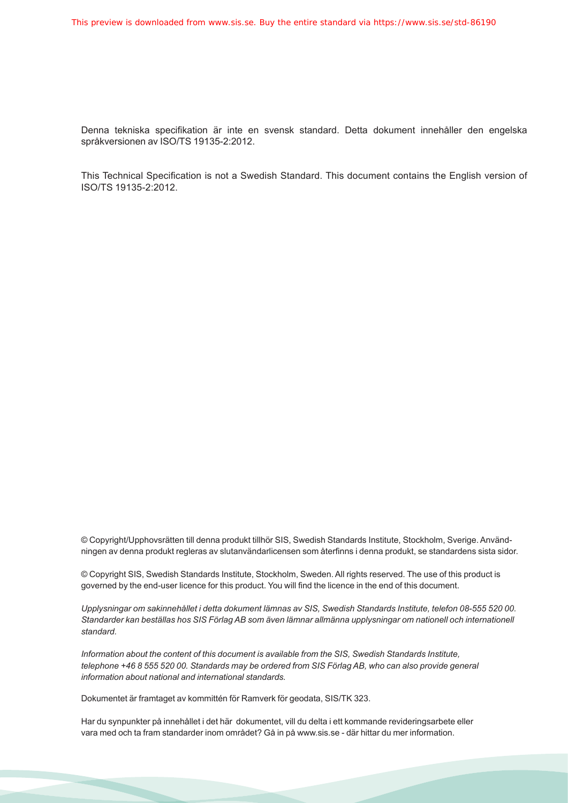Denna tekniska specifikation är inte en svensk standard. Detta dokument innehåller den engelska språkversionen av ISO/TS 19135-2:2012.

This Technical Specification is not a Swedish Standard. This document contains the English version of ISO/TS 19135-2:2012.

© Copyright/Upphovsrätten till denna produkt tillhör SIS, Swedish Standards Institute, Stockholm, Sverige. Användningen av denna produkt regleras av slutanvändarlicensen som återfinns i denna produkt, se standardens sista sidor.

© Copyright SIS, Swedish Standards Institute, Stockholm, Sweden. All rights reserved. The use of this product is governed by the end-user licence for this product. You will find the licence in the end of this document.

*Upplysningar om sakinnehållet i detta dokument lämnas av SIS, Swedish Standards Institute, telefon 08-555 520 00. Standarder kan beställas hos SIS Förlag AB som även lämnar allmänna upplysningar om nationell och internationell standard.*

*Information about the content of this document is available from the SIS. Swedish Standards Institute. telephone +46 8 555 520 00. Standards may be ordered from SIS Förlag AB, who can also provide general information about national and international standards.*

Dokumentet är framtaget av kommittén för Ramverk för geodata, SIS/TK 323.

Har du synpunkter på innehållet i det här dokumentet, vill du delta i ett kommande revideringsarbete eller vara med och ta fram standarder inom området? Gå in på www.sis.se - där hittar du mer information.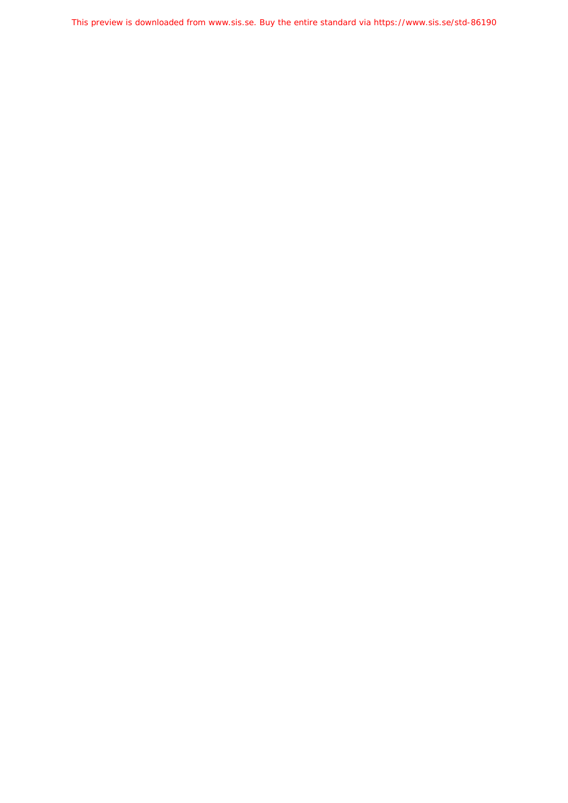This preview is downloaded from www.sis.se. Buy the entire standard via https://www.sis.se/std-86190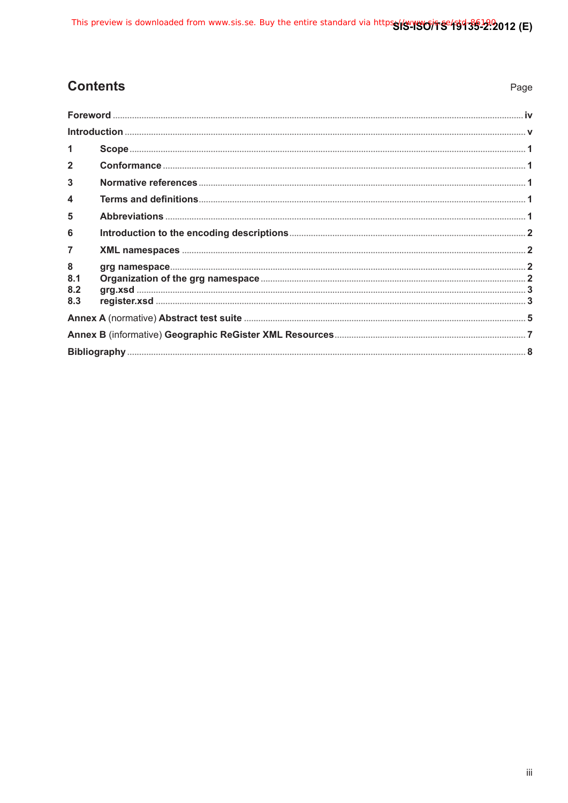## **Contents**

| $\mathbf{1}$   |                                                                    |  |  |
|----------------|--------------------------------------------------------------------|--|--|
| $\overline{2}$ |                                                                    |  |  |
| 3              |                                                                    |  |  |
| 4              |                                                                    |  |  |
| 5              |                                                                    |  |  |
| 6              |                                                                    |  |  |
| $\overline{7}$ |                                                                    |  |  |
| 8              |                                                                    |  |  |
| 8.1            |                                                                    |  |  |
| 8.2<br>8.3     | Organization of the grg namespace 2<br>grg.xsd 3<br>register.xsd 3 |  |  |
|                |                                                                    |  |  |
|                |                                                                    |  |  |
|                |                                                                    |  |  |

Page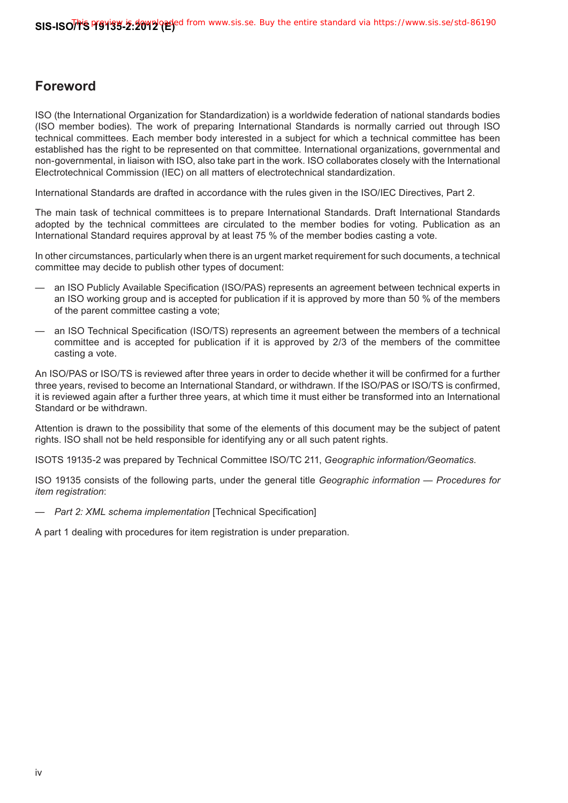## <span id="page-5-0"></span>**Foreword**

ISO (the International Organization for Standardization) is a worldwide federation of national standards bodies (ISO member bodies). The work of preparing International Standards is normally carried out through ISO technical committees. Each member body interested in a subject for which a technical committee has been established has the right to be represented on that committee. International organizations, governmental and non-governmental, in liaison with ISO, also take part in the work. ISO collaborates closely with the International Electrotechnical Commission (IEC) on all matters of electrotechnical standardization.

International Standards are drafted in accordance with the rules given in the ISO/IEC Directives, Part 2.

The main task of technical committees is to prepare International Standards. Draft International Standards adopted by the technical committees are circulated to the member bodies for voting. Publication as an International Standard requires approval by at least 75 % of the member bodies casting a vote.

In other circumstances, particularly when there is an urgent market requirement for such documents, a technical committee may decide to publish other types of document:

- an ISO Publicly Available Specification (ISO/PAS) represents an agreement between technical experts in an ISO working group and is accepted for publication if it is approved by more than 50 % of the members of the parent committee casting a vote;
- an ISO Technical Specification (ISO/TS) represents an agreement between the members of a technical committee and is accepted for publication if it is approved by 2/3 of the members of the committee casting a vote.

An ISO/PAS or ISO/TS is reviewed after three years in order to decide whether it will be confirmed for a further three years, revised to become an International Standard, or withdrawn. If the ISO/PAS or ISO/TS is confirmed, it is reviewed again after a further three years, at which time it must either be transformed into an International Standard or be withdrawn.

Attention is drawn to the possibility that some of the elements of this document may be the subject of patent rights. ISO shall not be held responsible for identifying any or all such patent rights.

ISOTS 19135-2 was prepared by Technical Committee ISO/TC 211, *Geographic information/Geomatics*.

ISO 19135 consists of the following parts, under the general title *Geographic information — Procedures for item registration*:

— *Part 2: XML schema implementation* [Technical Specification]

A part 1 dealing with procedures for item registration is under preparation.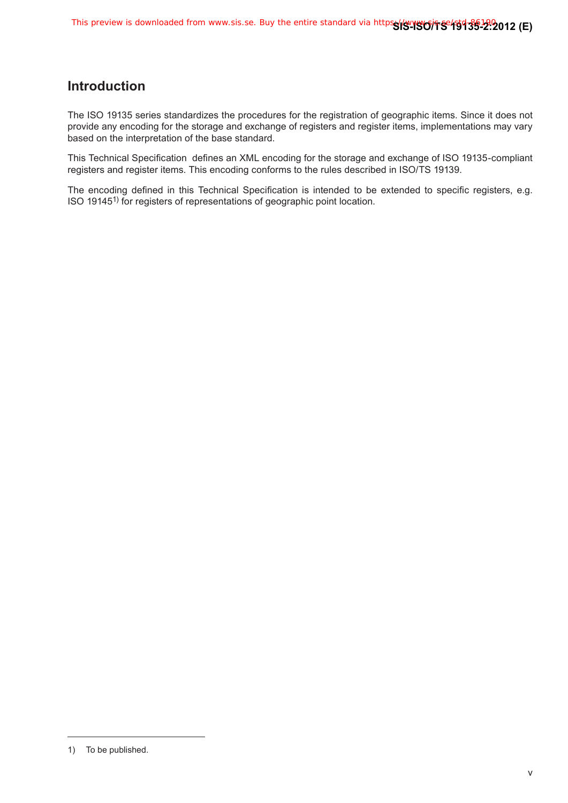## <span id="page-6-0"></span>**Introduction**

The ISO 19135 series standardizes the procedures for the registration of geographic items. Since it does not provide any encoding for the storage and exchange of registers and register items, implementations may vary based on the interpretation of the base standard.

This Technical Specification defines an XML encoding for the storage and exchange of ISO 19135-compliant registers and register items. This encoding conforms to the rules described in ISO/TS 19139.

The encoding defined in this Technical Specification is intended to be extended to specific registers, e.g. ISO 191451) for registers of representations of geographic point location.

<sup>1)</sup> To be published.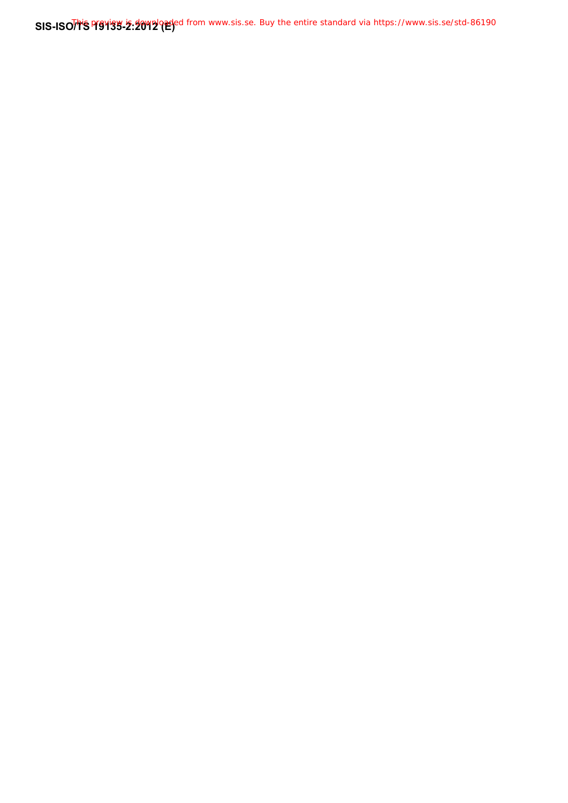SIS-ISO<sup>F</sup>TS PT9Y5S-2:20Y2 (E) from www.sis.se. Buy the entire standard via https://www.sis.se/std-86190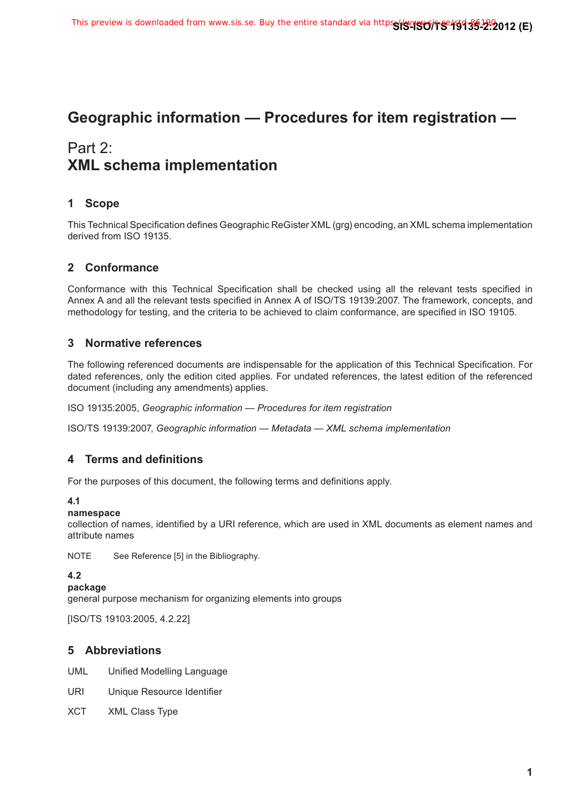# <span id="page-8-0"></span>**Geographic information — Procedures for item registration —**

# Part 2: **XML schema implementation**

## **1 Scope**

This Technical Specification defines Geographic ReGister XML (grg) encoding, an XML schema implementation derived from ISO 19135.

## **2 Conformance**

Conformance with this Technical Specification shall be checked using all the relevant tests specified in Annex A and all the relevant tests specified in Annex A of ISO/TS 19139:2007. The framework, concepts, and methodology for testing, and the criteria to be achieved to claim conformance, are specified in ISO 19105.

## **3 Normative references**

The following referenced documents are indispensable for the application of this Technical Specification. For dated references, only the edition cited applies. For undated references, the latest edition of the referenced document (including any amendments) applies.

ISO 19135:2005, *Geographic information — Procedures for item registration*

ISO/TS 19139:2007, *Geographic information — Metadata — XML schema implementation*

## **4 Terms and definitions**

For the purposes of this document, the following terms and definitions apply.

### **4.1**

### **namespace**

collection of names, identified by a URI reference, which are used in XML documents as element names and attribute names

NOTE See Reference [5] in the Bibliography.

### **4.2**

#### **package**

general purpose mechanism for organizing elements into groups

[ISO/TS 19103:2005, 4.2.22]

## **5 Abbreviations**

- UML Unified Modelling Language
- URI Unique Resource Identifier
- XCT XML Class Type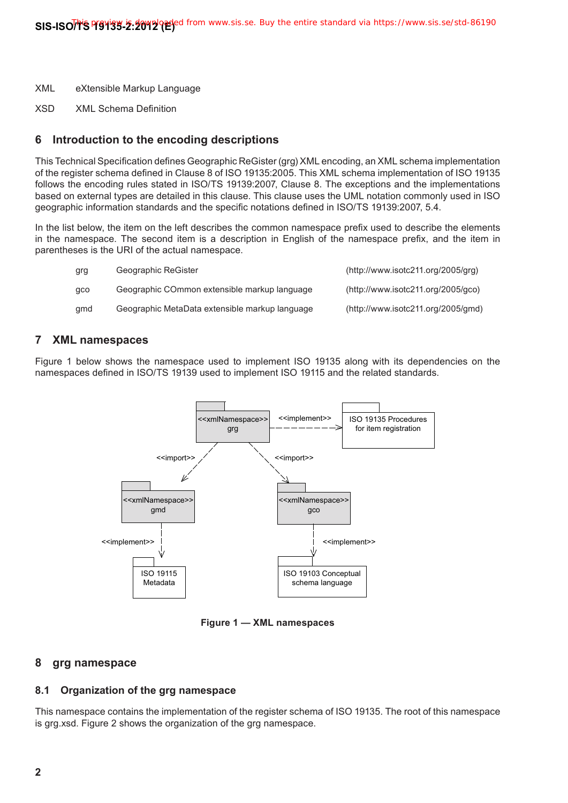- <span id="page-9-0"></span>XML eXtensible Markup Language
- XSD XML Schema Definition

## **6 Introduction to the encoding descriptions**

This Technical Specification defines Geographic ReGister (grg) XML encoding, an XML schema implementation of the register schema defined in Clause 8 of ISO 19135:2005. This XML schema implementation of ISO 19135 follows the encoding rules stated in ISO/TS 19139:2007, Clause 8. The exceptions and the implementations based on external types are detailed in this clause. This clause uses the UML notation commonly used in ISO geographic information standards and the specific notations defined in ISO/TS 19139:2007, 5.4.

In the list below, the item on the left describes the common namespace prefix used to describe the elements in the namespace. The second item is a description in English of the namespace prefix, and the item in parentheses is the URI of the actual namespace.

| grg | Geographic ReGister                            | (http://www.isotc211.org/2005/grg) |
|-----|------------------------------------------------|------------------------------------|
| qco | Geographic COmmon extensible markup language   | (http://www.isotc211.org/2005/qco) |
| qmd | Geographic MetaData extensible markup language | (http://www.isotc211.org/2005/gmd) |

## **7 XML namespaces**

Figure 1 below shows the namespace used to implement ISO 19135 along with its dependencies on the namespaces defined in ISO/TS 19139 used to implement ISO 19115 and the related standards.



**Figure 1 — XML namespaces**

## **8 grg namespace**

### **8.1 Organization of the grg namespace**

This namespace contains the implementation of the register schema of ISO 19135. The root of this namespace is grg.xsd. Figure 2 shows the organization of the grg namespace.